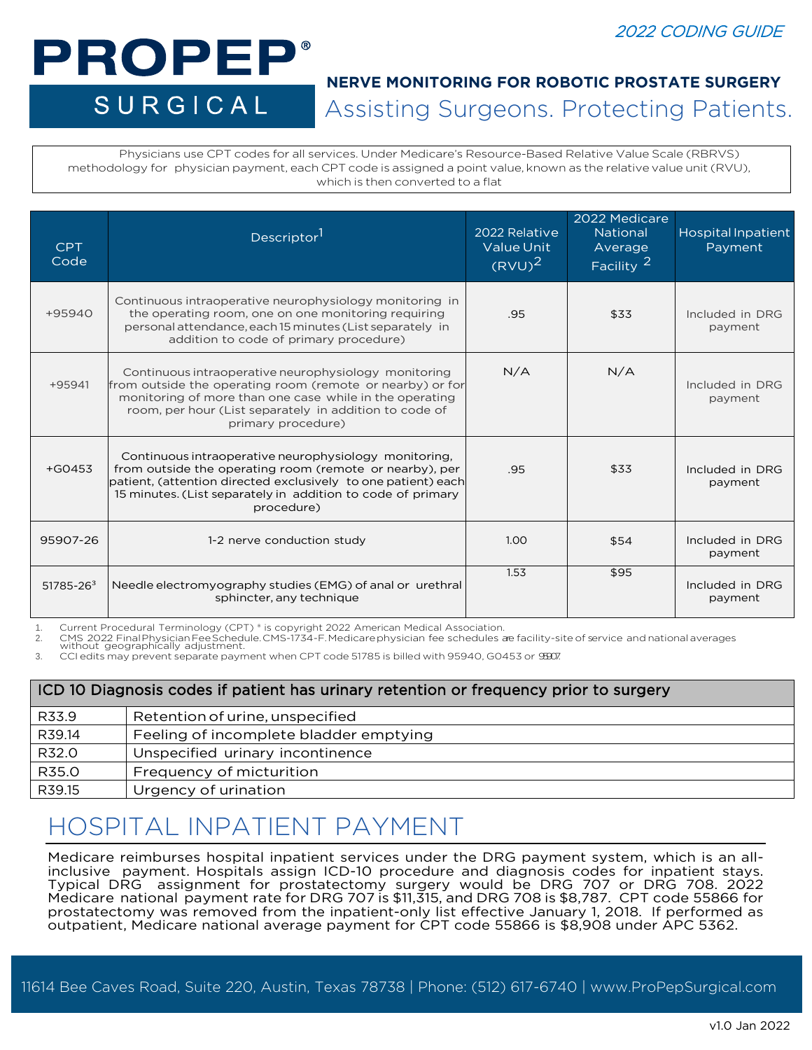## 2022 CODING GUIDE

# PROPEP® SURGICAL

# Assisting Surgeons. Protecting Patients. **NERVE MONITORING FOR ROBOTIC PROSTATE SURGERY**

Physicians use CPT codes for all services. Under Medicare's Resource-Based Relative Value Scale (RBRVS) methodology for physician payment, each CPT code is assigned a point value, known as the relative value unit (RVU), which is then converted to a flat

| <b>CPT</b><br>Code | Descriptor <sup>1</sup>                                                                                                                                                                                                                                        | 2022 Relative<br><b>Value Unit</b><br>$(RVU)^2$ | 2022 Medicare<br><b>National</b><br>Average<br>$F$ acility $2^{\prime}$ | <b>Hospital Inpatient</b><br>Payment |
|--------------------|----------------------------------------------------------------------------------------------------------------------------------------------------------------------------------------------------------------------------------------------------------------|-------------------------------------------------|-------------------------------------------------------------------------|--------------------------------------|
| $+95940$           | Continuous intraoperative neurophysiology monitoring in<br>the operating room, one on one monitoring requiring<br>personal attendance, each 15 minutes (List separately in<br>addition to code of primary procedure)                                           | .95                                             | \$33                                                                    | Included in DRG<br>payment           |
| $+95941$           | Continuous intraoperative neurophysiology monitoring<br>from outside the operating room (remote or nearby) or for<br>monitoring of more than one case while in the operating<br>room, per hour (List separately in addition to code of<br>primary procedure)   | N/A                                             | N/A                                                                     | Included in DRG<br>payment           |
| $+G0453$           | Continuous intraoperative neurophysiology monitoring.<br>from outside the operating room (remote or nearby), per<br>patient, (attention directed exclusively to one patient) each<br>15 minutes. (List separately in addition to code of primary<br>procedure) | .95                                             | \$33                                                                    | Included in DRG<br>payment           |
| 95907-26           | 1-2 nerve conduction study                                                                                                                                                                                                                                     | 1.00                                            | \$54                                                                    | Included in DRG<br>payment           |
| $51785 - 263$      | Needle electromyography studies (EMG) of anal or urethral<br>sphincter, any technique                                                                                                                                                                          | 1.53                                            | \$95                                                                    | Included in DRG<br>payment           |

1. Current Procedural Terminology (CPT) ® is copyright 2022 American Medical Association.<br>2. CMS 2022 FinalPhysician Fee Schedule.CMS-1734-F.Medicarephysician fee schedules ae facility-site of service and national

3. CCI edits may prevent separate payment when CPT code 51785 is billed with 95940, G0453 or 95907.

| ICD 10 Diagnosis codes if patient has urinary retention or frequency prior to surgery |                                        |  |  |
|---------------------------------------------------------------------------------------|----------------------------------------|--|--|
| R33.9                                                                                 | Retention of urine, unspecified        |  |  |
| R39.14                                                                                | Feeling of incomplete bladder emptying |  |  |
| R32.0                                                                                 | Unspecified urinary incontinence       |  |  |
| R35.0                                                                                 | Frequency of micturition               |  |  |
| R39.15                                                                                | Urgency of urination                   |  |  |

# HOSPITAL INPATIENT PAYMENT

Medicare reimburses hospital inpatient services under the DRG payment system, which is an allinclusive payment. Hospitals assign ICD-10 procedure and diagnosis codes for inpatient stays. Typical DRG assignment for prostatectomy surgery would be DRG 707 or DRG 708. 2022 Medicare national payment rate for DRG 707 is \$11,315, and DRG 708 is \$8,787. CPT code 55866 for prostatectomy was removed from the inpatient-only list effective January 1, 2018. If performed as outpatient, Medicare national average payment for CPT code 55866 is \$8,908 under APC 5362.

11614 Bee Caves Road, Suite 220, Austin, Texas 78738 | Phone: (512) 617-6740 | www.ProPepSurgical.com